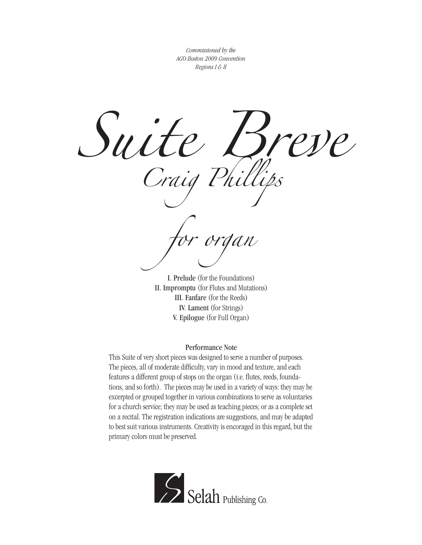*Commissioned by the AGO Boston 2009 Convention Regions I & II*

I. Prelude (for the Foundations) *Suite Breve Craig Phillips for organ*

II. Impromptu (for Flutes and Mutations) III. Fanfare (for the Reeds) IV. Lament (for Strings) V. Epilogue (for Full Organ)

## Performance Note

This Suite of very short pieces was designed to serve a number of purposes. The pieces, all of moderate difficulty, vary in mood and texture, and each features a different group of stops on the organ (i.e. flutes, reeds, foundations, and so forth). The pieces may be used in a variety of ways: they may be excerpted or grouped together in various combinations to serve as voluntaries for a church service; they may be used as teaching pieces; or as a complete set on a recital. The registration indications are suggestions, and may be adapted to best suit various instruments. Creativity is encoraged in this regard, but the primary colors must be preserved.

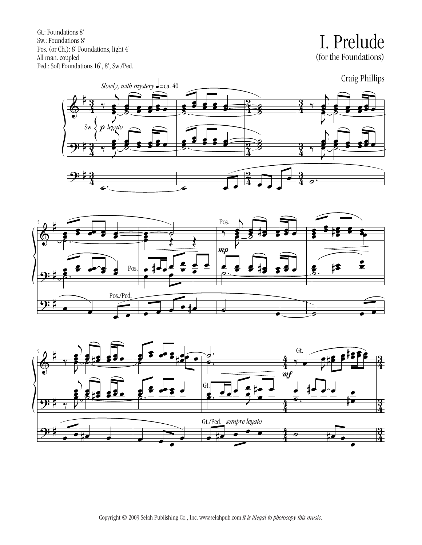Gt.: Foundations 8' Sw.: Foundations 8' Pos. (or Ch.): 8' Foundations, light 4' All man. coupled Ped.: Soft Foundations 16', 8', Sw./Ped.

## I. Prelude (for the Foundations)

Craig Phillips







Copyright © 2009 Selah Publishing Co., Inc. www.selahpub.com *It is illegal to photocopy this music.*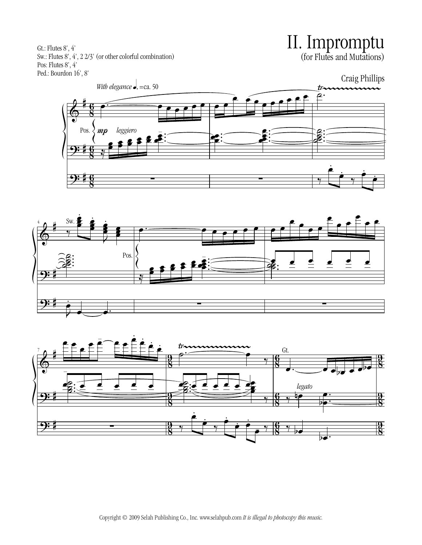Gt.: Flutes 8', 4' Sw.: Flutes 8', 4', 2 2/3' (or other colorful combination) Pos: Flutes 8', 4' Ped.: Bourdon 16', 8'

## II. Impromptu (for Flutes and Mutations)





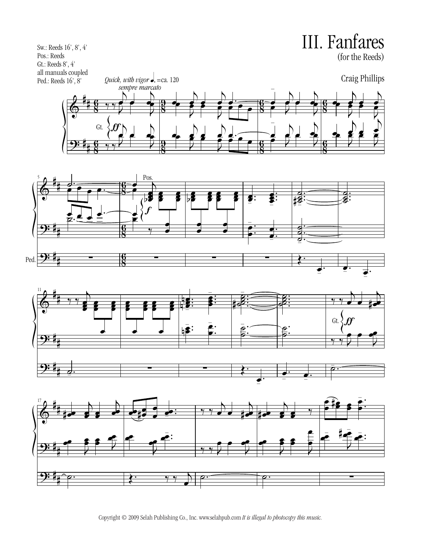

Copyright © 2009 Selah Publishing Co., Inc. www.selahpub.com *It is illegal to photocopy this music*.

˙.

˙.

∑

 $\left\{\begin{array}{ccc} \cdot & \cdot & \cdot & \cdot \\ \cdot & \cdot & \cdot & \cdot \\ \cdot & \cdot & \cdot & \cdot \end{array}\right\}$ 

œ







<u>9:</u>

<u>9:</u>

# # ˙.

Ped.

# #

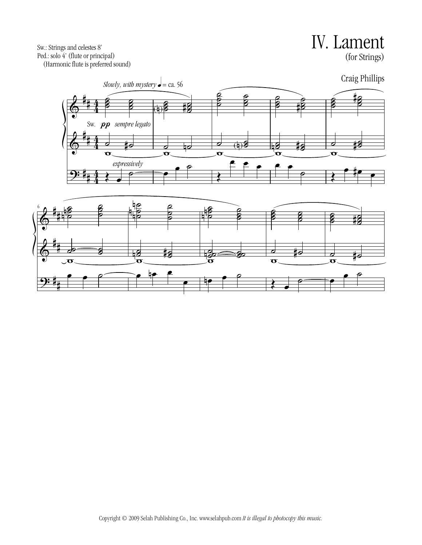Sw.: Strings and celestes 8' Ped.: solo 4' (flute or principal) (Harmonic flute is preferred sound)



IV. Lament

(for Strings)